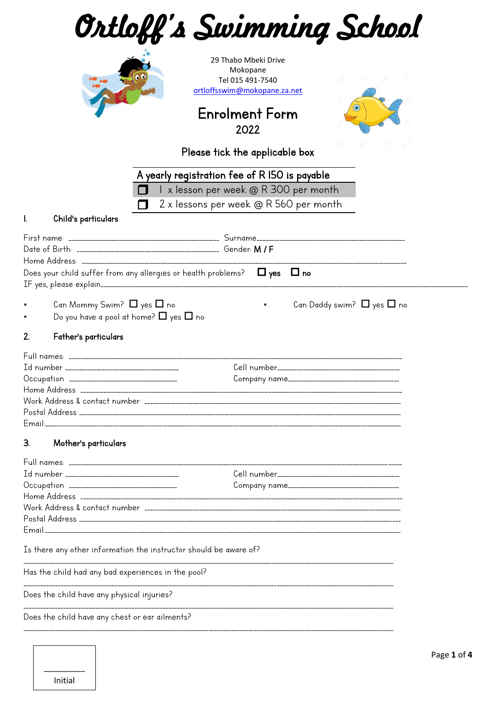| Ortloff's Swimming School                                                                                                        |           |
|----------------------------------------------------------------------------------------------------------------------------------|-----------|
| 29 Thabo Mbeki Drive<br>Mokopane<br>Tel 015 491-7540<br>ortloffsswim@mokopane.za.net                                             |           |
| $\odot$<br><b>Enrolment Form</b><br>2022                                                                                         |           |
| Please tick the applicable box                                                                                                   |           |
| A yearly registration fee of R I50 is payable<br>I x lesson per week @ R 300 per month<br>2 x lessons per week @ R 560 per month |           |
| Child's particulars<br>I.                                                                                                        |           |
|                                                                                                                                  |           |
| Does your child suffer from any allergies or health problems? $\Box$ yes $\Box$ no                                               |           |
| Can Mommy Swim? $\Box$ yes $\Box$ no<br>Can Daddy swim? $\Box$ yes $\Box$ no<br>Do you have a pool at home? $\Box$ yes $\Box$ no |           |
| 2.<br>Father's particulars                                                                                                       |           |
| Company name_____________                                                                                                        |           |
|                                                                                                                                  |           |
| З.<br>Mother's particulars                                                                                                       |           |
|                                                                                                                                  |           |
|                                                                                                                                  |           |
| Is there any other information the instructor should be aware of?                                                                |           |
| Has the child had any bad experiences in the pool?                                                                               |           |
| Does the child have any physical injuries?                                                                                       |           |
| Does the child have any chest or ear ailments?                                                                                   |           |
|                                                                                                                                  | Page 1 of |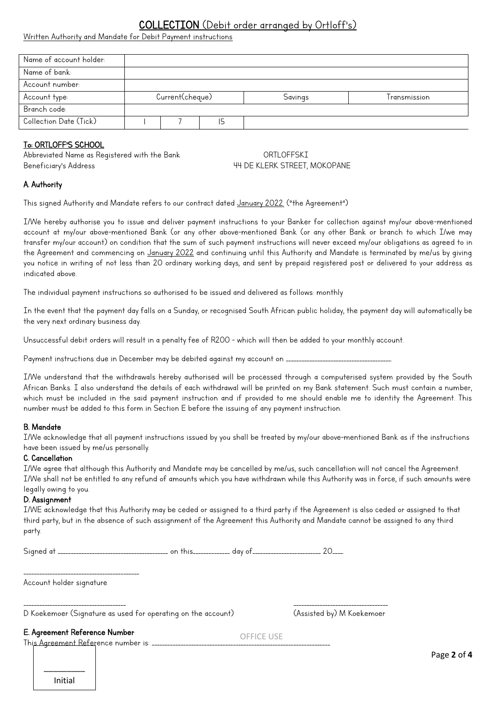# COLLECTION (Debit order grranged by Ortloff's)

Written Authority and Mandate for Debit Payment instructions

| Name of account holder: |                 |  |    |         |              |
|-------------------------|-----------------|--|----|---------|--------------|
| Name of bank:           |                 |  |    |         |              |
| Account number:         |                 |  |    |         |              |
| Account type:           | Current(cheque) |  |    | Savings | Transmission |
| Branch code:            |                 |  |    |         |              |
| Collection Date (Tick)  |                 |  | 15 |         |              |

### To: ORTLOFF'S SCHOOL

Abbreviated Name as Registered with the Bank CORTLOFFSKI Beneficiary's Address and the state of the MESS of the MESS H4 DE KLERK STREET, MOKOPANE

### A. Authority

This signed Authority and Mandate refers to our contract dated January 2022. ("the Agreement")

I/We hereby authorise you to issue and deliver payment instructions to your Banker for collection against my/our above-mentioned account at my/our above-mentioned Bank (or any other above-mentioned Bank (or any other Bank or branch to which I/we may transfer my/our account) on condition that the sum of such payment instructions will never exceed my/our obligations as agreed to in the Agreement and commencing on January 2022 and continuing until this Authority and Mandate is terminated by me/us by giving you notice in writing of not less than 20 ordinary working days, and sent by prepaid registered post or delivered to your address as indicated above.

The individual payment instructions so authorised to be issued and delivered as follows: monthly

In the event that the payment day falls on a Sunday, or recognised South African public holiday, the payment day will automatically be the very next ordinary business day.

Unsuccessful debit orders will result in a penalty fee of R200 - which will then be added to your monthly account.

Payment instructions due in December may be debited against my account on \_\_\_\_\_\_\_\_\_\_\_\_\_\_\_\_\_\_\_\_\_\_\_\_\_\_\_\_\_\_\_\_\_\_\_\_\_\_\_\_.

I/We understand that the withdrawals hereby authorised will be processed through a computerised system provided by the South African Banks. I also understand the details of each withdrawal will be printed on my Bank statement. Such must contain a number, which must be included in the said payment instruction and if provided to me should enable me to identity the Agreement. This number must be added to this form in Section E before the issuing of any payment instruction.

### B. Mandate

I/We acknowledge that all payment instructions issued by you shall be treated by my/our above-mentioned Bank as if the instructions have been issued by me/us personally.

### C. Cancellation

I/We agree that although this Authority and Mandate may be cancelled by me/us, such cancellation will not cancel the Agreement. I/We shall not be entitled to any refund of amounts which you have withdrawn while this Authority was in force, if such amounts were legally owing to you.

#### D. Assignment

I/WE acknowledge that this Authority may be ceded or assigned to a third party if the Agreement is also ceded or assigned to that third party, but in the absence of such assignment of the Agreement this Authority and Mandate cannot be assigned to any third party.

| <b>Signed</b> |  |  | . uun |  |
|---------------|--|--|-------|--|
|               |  |  |       |  |

\_\_\_\_\_\_\_\_\_\_\_\_\_\_\_\_\_\_\_\_\_\_\_\_\_\_\_\_\_\_\_\_\_\_\_\_\_\_\_\_\_\_\_\_ Account holder signature

\_\_\_\_\_\_\_\_\_\_\_\_\_\_\_\_\_\_\_\_\_\_\_\_\_\_\_\_\_\_\_\_\_\_\_\_\_\_\_ \_\_\_\_\_\_\_\_\_\_\_\_\_\_\_\_\_\_\_\_\_\_\_\_\_\_\_\_\_\_\_\_\_\_\_\_ D Koekemoer (Signature as used for operating on the account) (Assisted by) M Koekemoer

E. Agreement Reference Number

This Agreement Reference number is: \_\_\_\_\_\_\_\_

OFFICE USE

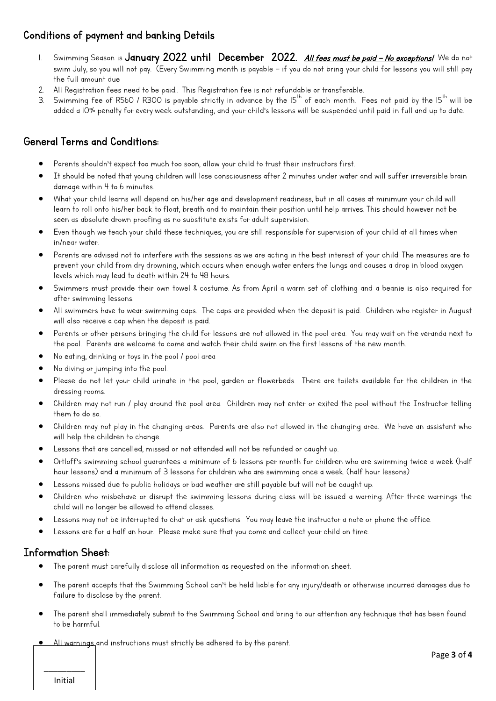## Conditions of payment and banking Details

- 1. Swimming Season is January 2022 until December 2022. All fees must be paid No exceptions! We do not swim July, so you will not pay. (Every Swimming month is payable – if you do not bring your child for lessons you will still pay the full amount due
- 2. All Registration fees need to be paid.. This Registration fee is not refundable or transferable.
- 3. Swimming fee of R560 / R300 is payable strictly in advance by the  $15^{th}$  of each month. Fees not paid by the  $15^{th}$  will be added a 10% penalty for every week outstanding, and your child's lessons will be suspended until paid in full and up to date.

# General Terms and Conditions:

- Parents shouldn't expect too much too soon, allow your child to trust their instructors first.
- It should be noted that young children will lose consciousness after 2 minutes under water and will suffer irreversible brain damage within 4 to 6 minutes.
- What your child learns will depend on his/her age and development readiness, but in all cases at minimum your child will learn to roll onto his/her back to float, breath and to maintain their position until help arrives. This should however not be seen as absolute drown proofing as no substitute exists for adult supervision.
- Even though we teach your child these techniques, you are still responsible for supervision of your child at all times when in/near water.
- Parents are advised not to interfere with the sessions as we are acting in the best interest of your child. The measures are to prevent your child from dry drowning, which occurs when enough water enters the lungs and causes a drop in blood oxygen levels which may lead to death within 24 to 48 hours.
- Swimmers must provide their own towel & costume. As from April a warm set of clothing and a beanie is also required for after swimming lessons.
- All swimmers have to wear swimming caps. The caps are provided when the deposit is paid. Children who register in August will also receive a cap when the deposit is paid.
- Parents or other persons bringing the child for lessons are not allowed in the pool area. You may wait on the veranda next to the pool. Parents are welcome to come and watch their child swim on the first lessons of the new month.
- No eating, drinking or toys in the pool / pool area
- No diving or jumping into the pool.
- Please do not let your child urinate in the pool, garden or flowerbeds. There are toilets available for the children in the dressing rooms.
- Children may not run / play around the pool area. Children may not enter or exited the pool without the Instructor telling them to do so.
- Children may not play in the changing areas. Parents are also not allowed in the changing area. We have an assistant who will help the children to change.
- Lessons that are cancelled, missed or not attended will not be refunded or caught up.
- Ortloff's swimming school quarantees a minimum of 6 lessons per month for children who are swimming twice a week (half hour lessons) and a minimum of 3 lessons for children who are swimming once a week. (half hour lessons)
- Lessons missed due to public holidays or bad weather are still payable but will not be caught up.
- Children who misbehave or disrupt the swimming lessons during class will be issued a warning. After three warnings the child will no longer be allowed to attend classes.
- Lessons may not be interrupted to chat or ask questions. You may leave the instructor a note or phone the office.
- Lessons are for a half an hour. Please make sure that you come and collect your child on time.

## Information Sheet:

- The parent must carefully disclose all information as requested on the information sheet.
- The parent accepts that the Swimming School can't be held liable for any injury/death or otherwise incurred damages due to failure to disclose by the parent.
- The parent shall immediately submit to the Swimming School and bring to our attention any technique that has been found to be harmful.
- All warnings and instructions must strictly be adhered to by the parent.

\_\_\_\_\_\_\_\_\_ Initial